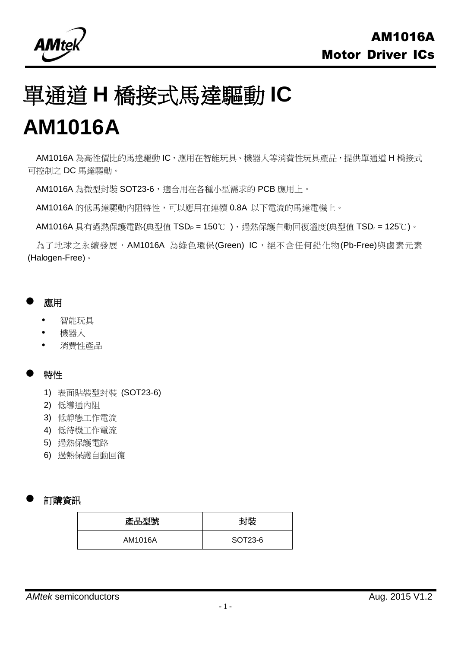

# 單通道 **H** 橋接式馬達驅動 **IC**

# **AM1016A**

AM1016A 為高性價比的馬達驅動 IC,應用在智能玩具、機器人等消費性玩具產品,提供單通道 H 橋接式 可控制之 DC 馬達驅動。

AM1016A 為微型封裝 SOT23-6,適合用在各種小型需求的 PCB 應用上。

AM1016A 的低馬達驅動內阻特性,可以應用在連續 0.8A 以下電流的馬達電機上。

AM1016A 具有過熱保護電路(典型值 TSD<sub>P</sub> = 150℃)、過熱保護自動回復溫度(典型值 TSD<sub>r</sub> = 125℃)。

為了地球之永續發展,AM1016A 為綠色環保(Green) IC,絕不含任何鉛化物(Pb-Free)與鹵素元素 (Halogen-Free)。

#### 應用

- 智能玩具
- 機器人
- 消費性產品

### 特性

- 1) 表面貼裝型封裝 (SOT23-6)
- 2) 低導通內阻
- 3) 低靜態工作電流
- 4) 低待機工作電流
- 5) 過熱保護電路
- 6) 過熱保護自動回復

### 訂購資訊

| 產品型號    | 封装      |  |  |
|---------|---------|--|--|
| AM1016A | SOT23-6 |  |  |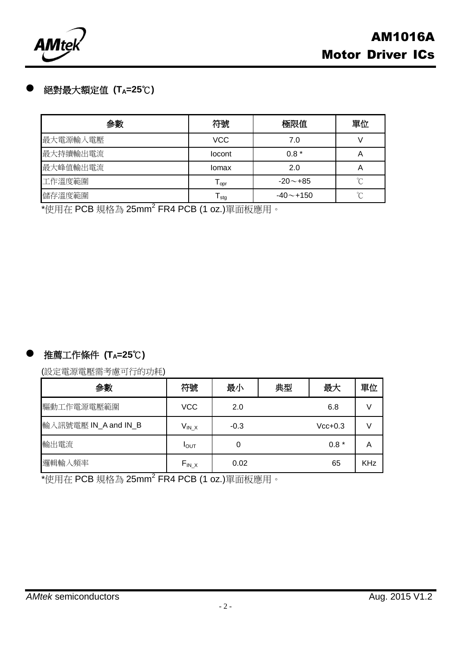

# 絕對最大額定值 **(TA=25**℃**)**

| 参數       | 符號         | 極限值            | 單位 |
|----------|------------|----------------|----|
| 最大電源輸入電壓 | <b>VCC</b> | 7.0            |    |
| 最大持續輸出電流 | locont     | $0.8*$         | А  |
| 最大峰值輸出電流 | Iomax      | 2.0            | A  |
| 工作溫度範圍   | opr        | $-20 \sim +85$ | ∽  |
| 儲存溫度範圍   | l stg      | $-40$ $-$ +150 | ∽  |

\*使用在 PCB 規格為 25mm<sup>2</sup> FR4 PCB (1 oz.)單面板應用。

# 推薦工作條件 **(TA=25**℃**)**

(設定電源電壓需考慮可行的功耗)

| 参數                   | 符號               | 最小     | 典型 | 最大        | 單位         |
|----------------------|------------------|--------|----|-----------|------------|
| 驅動工作電源電壓範圍           | <b>VCC</b>       | 2.0    |    | 6.8       |            |
| 輸入訊號電壓 IN_A and IN_B | $V_{IN\_X}$      | $-0.3$ |    | $Vcc+0.3$ |            |
| 輸出電流                 | I <sub>OUT</sub> |        |    | $0.8*$    | А          |
| 邏輯輸入頻率               | $F_{IN.X}$       | 0.02   |    | 65        | <b>KHz</b> |

\*使用在 PCB 規格為 25mm<sup>2</sup> FR4 PCB (1 oz.)單面板應用。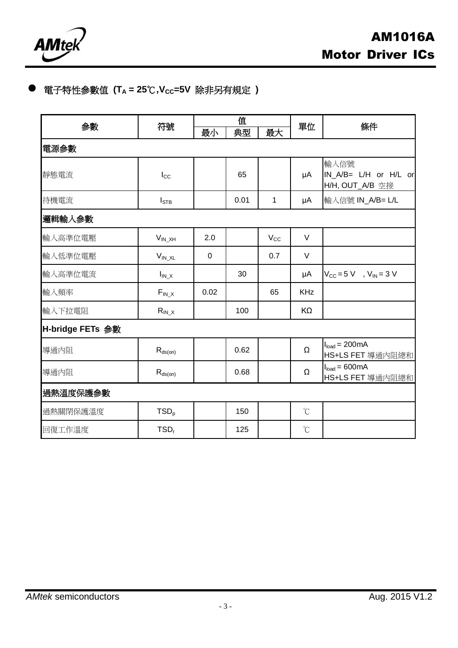

# 電子特性參數值 **(T<sup>A</sup> = 25**℃**,VCC=5V** 除非另有規定 **)**

| 参數               |                  |             | 值    |              |                      |                                                               |
|------------------|------------------|-------------|------|--------------|----------------------|---------------------------------------------------------------|
|                  | 符號               | 最小          | 典型   | 最大           | 單位                   | 條件                                                            |
| 電源參數             |                  |             |      |              |                      |                                                               |
| 靜態電流             | $I_{\rm CC}$     |             | 65   |              | μA                   | 輸入信號<br>IN_A/B= L/H or H/L or<br>H/H, OUT_A/B 空接              |
| 待機電流             | $I_{\text{STB}}$ |             | 0.01 | $\mathbf{1}$ | μA                   | 輸入信號 IN_A/B= L/L                                              |
| 邏輯輸入參數           |                  |             |      |              |                      |                                                               |
| 輸入高準位電壓          | $V_{IN XH}$      | 2.0         |      | $V_{\rm CC}$ | $\vee$               |                                                               |
| 輸入低準位電壓          | $V_{IN\_XL}$     | $\mathbf 0$ |      | 0.7          | $\vee$               |                                                               |
| 輸入高準位電流          | $I_{IN\_X}$      |             | 30   |              | μA                   | $V_{\text{CC}} = 5 \text{ V}$ , $V_{\text{IN}} = 3 \text{ V}$ |
| 輸入頻率             | $F_{IN.X}$       | 0.02        |      | 65           | <b>KHz</b>           |                                                               |
| 輸入下拉電阻           | $R_{IN\_X}$      |             | 100  |              | KΩ                   |                                                               |
| H-bridge FETs 参數 |                  |             |      |              |                      |                                                               |
| 導通內阻             | $R_{ds(on)}$     |             | 0.62 |              | $\Omega$             | $Iload = 200mA$<br>HS+LS FET 導通內阻總和                           |
| 導通內阻             | $R_{ds(on)}$     |             | 0.68 |              | $\Omega$             | $I_{load} = 600mA$<br>HS+LS FET 導通內阻總和                        |
| 過熱溫度保護參數         |                  |             |      |              |                      |                                                               |
| 過熱關閉保護溫度         | TSD <sub>p</sub> |             | 150  |              | $\mathrm{C}$         |                                                               |
| 回復工作溫度           | TSD <sub>r</sub> |             | 125  |              | $\mathrm{C}^{\circ}$ |                                                               |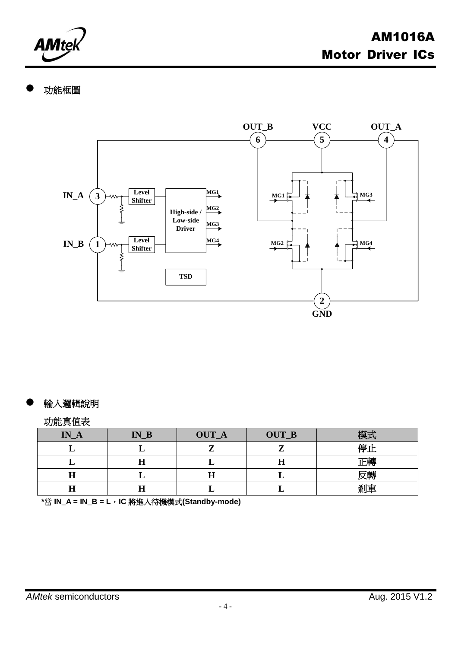

# 功能框圖



### 輸入邏輯說明

#### 功能真值表

| $IN_A$ | $\mathbf{IN\_B}$ | <b>OUT_A</b> | OUT_B | 樟式 |
|--------|------------------|--------------|-------|----|
|        |                  |              |       | 停Ⅰ |
|        | П<br>п           |              | ᅭ     | ト興 |
|        |                  | H            |       | 反轉 |
|        | Н                |              |       | 剎車 |

**\***當 **IN\_A = IN\_B = L**,**IC** 將進入待機模式**(Standby-mode)**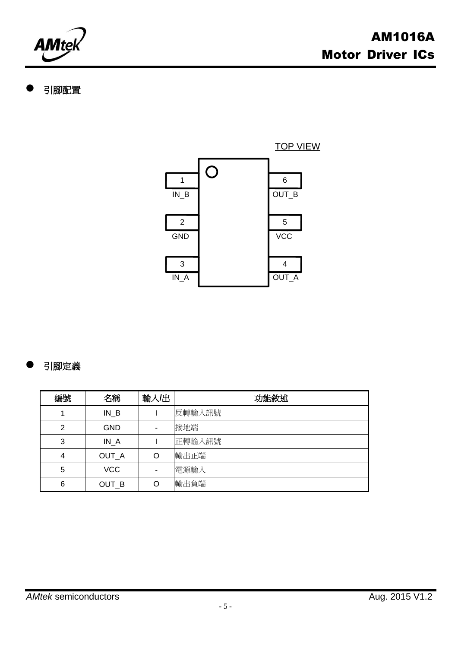

# 引腳配置



# 引腳定義

| 編號 | 名稱         | 輸入出 | 功能敘述   |
|----|------------|-----|--------|
| 1  | $IN_B$     |     | 反轉輸入訊號 |
| 2  | <b>GND</b> |     | 接地端    |
| 3  | $IN_A$     |     | 正轉輸入訊號 |
| 4  | OUT_A      | O   | 輸出正端   |
| 5  | <b>VCC</b> |     | 電源輸入   |
| 6  | OUT_B      | O   | 輸出負端   |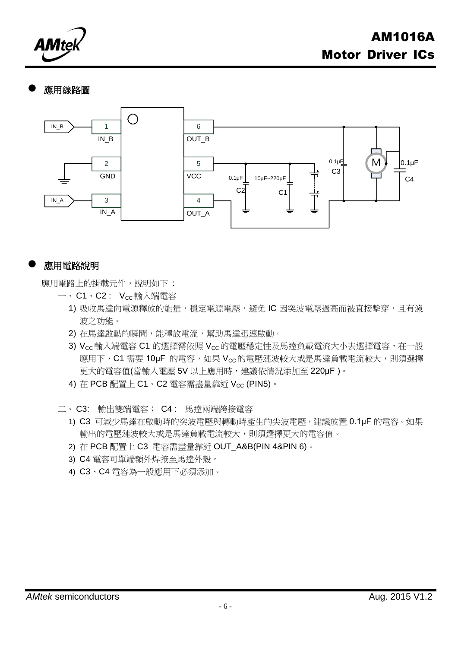

#### 應用線路圖



#### 應用電路說明

應用電路上的掛載元件,說明如下:

- $-$ 、C1、C2:  $V_{cc}$ 輸入端電容
	- 1) 吸收馬達向電源釋放的能量,穩定電源電壓,避免 IC 因突波電壓過高而被直接擊穿,且有濾 波之功能。
	- 2) 在馬達啟動的瞬間,能釋放電流,幫助馬達迅速啟動。
	- 3) Vcc輸入端電容 C1 的選擇需依照 Vcc的電壓穩定性及馬達負載電流大小去選擇電容,在一般 應用下,C1 需要 10µF 的電容,如果 Vcc的電壓漣波較大或是馬達負載電流較大,則須選擇 更大的電容值(當輸入電壓 5V 以上應用時,建議依情況添加至 220µF)。
	- 4) 在 PCB 配置上 C1、C2 雷容需盡量靠近 Vcc (PIN5)。
- 二、 C3: 輸出雙端電容; C4 : 馬達兩端跨接電容
	- 1) C3 可減少馬達在啟動時的突波電壓與轉動時產生的尖波電壓,建議放置 0.1μF 的電容。如果 輸出的電壓漣波較大或是馬達負載電流較大,則須選擇更大的電容值。
	- 2) 在 PCB 配置上 C3 電容需盡量靠近 OUT\_A&B(PIN 4&PIN 6)。
	- 3) C4 電容可單端額外焊接至馬達外殼。
	- 4) C3、C4 電容為一般應用下必須添加。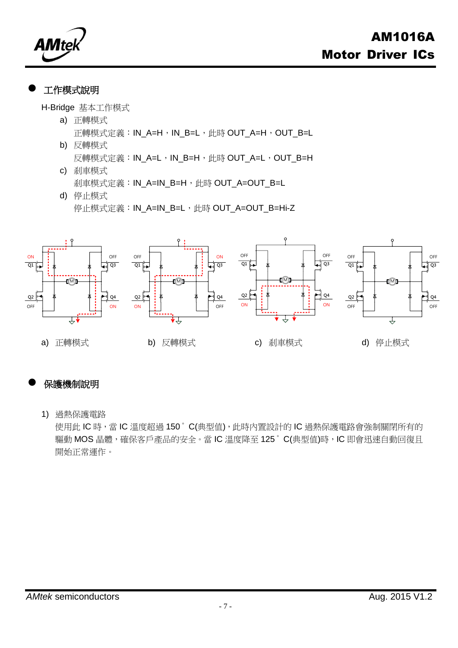

## 工作模式說明

H-Bridge 基本工作模式

- a) 正轉模式 正轉模式定義:IN\_A=H, IN\_B=L, 此時 OUT\_A=H, OUT\_B=L
- b) 反轉模式 反轉模式定義: IN\_A=L, IN\_B=H, 此時 OUT\_A=L, OUT\_B=H
- c) 剎車模式 剎車模式定義: IN\_A=IN\_B=H, 此時 OUT\_A=OUT\_B=L
- d) 停止模式 停止模式定義: IN\_A=IN\_B=L, 此時 OUT\_A=OUT\_B=Hi-Z



# 保護機制說明

1) 過熱保護電路

使用此 IC 時,當 IC 溫度超過 150°C(典型值),此時內置設計的 IC 過熱保護電路會強制關閉所有的 驅動 MOS 晶體,確保客戶產品的安全。當 IC 溫度降至 125°C(典型值)時, IC 即會迅速自動回復且 開始正常運作。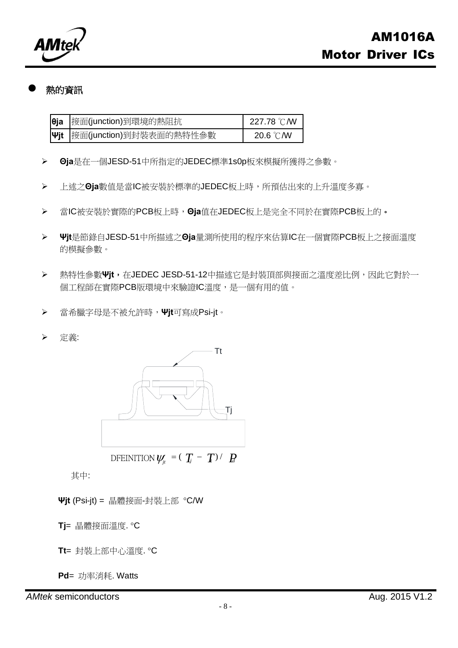

#### 熱的資訊

| eja 接面(junction)到環境的熱阻抗      | 227.78 ℃/W |
|------------------------------|------------|
| ψjt  接面(junction)到封裝表面的熱特性參數 | 20.6 °C/W  |

- **Θja**是在一個JESD-51中所指定的JEDEC標準1s0p板來模擬所獲得之參數。
- 上述之**Θja**數值是當IC被安裝於標準的JEDEC板上時,所預估出來的上升溫度多寡。
- 當IC被安裝於實際的PCB板上時,**Θja**值在JEDEC板上是完全不同於在實際PCB板上的。
- **Ψjt**是節錄自JESD-51中所描述之**Θja**量測所使用的程序來估算IC在一個實際PCB板上之接面溫度 的模擬參數。
- > 熱特性參數<
Wit, 布JEDEC JESD-51-12中描述它是封裝頂部與接面之溫度差比例,因此它對於一 個工程師在實際PCB版環境中來驗證IC溫度,是一個有用的值。
- 當希臘字母是不被允許時,**Ψjt**可寫成Psi-jt。
- 定義:



其中:

- **Ψjt** (Psi-jt) = 晶體接面-封裝上部 C/W
- **Tj**= 晶體接面溫度. C
- **Tt**= 封裝上部中心溫度. C
- **Pd**= 功率消耗. Watts

*AMtek* semiconductors **AUGE 2015 V1.2 Aug.** 2015 V1.2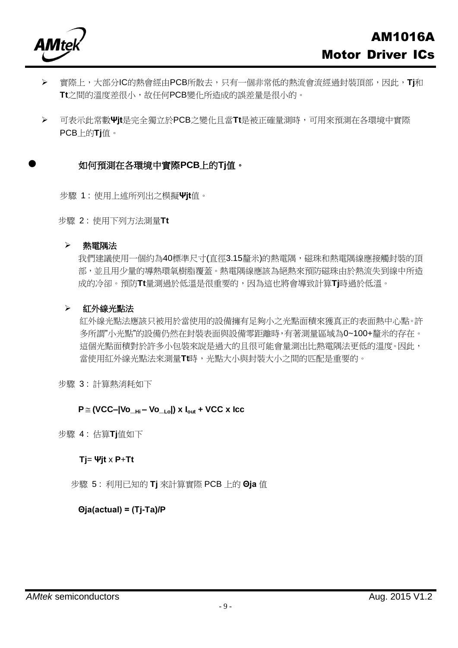

- 實際上,大部分IC的熱會經由PCB所散去,只有一個非常低的熱流會流經過封裝頂部,因此,**Tj**和 **Tt**之間的溫度差很小,故任何PCB變化所造成的誤差量是很小的。
- 可表示此常數**Ψjt**是完全獨立於PCB之變化且當**Tt**是被正確量測時,可用來預測在各環境中實際 PCB上的**Tj**值。

#### 如何預測在各環境中實際**PCB**上的**Tj**值。

步驟 1 : 使用上述所列出之模擬**Ψjt**值。

步驟 2 : 使用下列方法測量**Tt**

#### 熱電隅法

我們建議使用一個約為40標準尺寸(直徑3.15釐米)的熱電隅,磁珠和熱電隅線應接觸封裝的頂 部,並且用少量的導熱環氧樹脂覆蓋。熱電隅線應該為絕熱來預防磁珠由於熱流失到線中所造 成的冷卻。預防**Tt**量測過於低溫是很重要的,因為這也將會導致計算**Tj**時過於低溫。

#### 紅外線光點法

紅外線光點法應該只被用於當使用的設備擁有足夠小之光點面積來獲真正的表面熱中心點。許 多所謂"小光點"的設備仍然在封裝表面與設備零距離時,有著測量區域為0~100+釐米的存在。 這個光點面積對於許多小包裝來說是過大的且很可能會量測出比熱電隅法更低的溫度。因此, 當使用紅外線光點法來測量**Tt**時,光點大小與封裝大小之間的匹配是重要的。

步驟 3 : 計算熱消耗如下

#### **P (VCC–|Vo\_Hi – Vo\_Lo|) x Iout + VCC x Icc**

步驟 4 : 估算**Tj**值如下

#### **Tj**= **Ψjt** x **P**+**Tt**

步驟 5 : 利用已知的 **Tj** 來計算實際 PCB 上的 **Θja** 值

#### **Θja(actual) = (Tj-Ta)/P**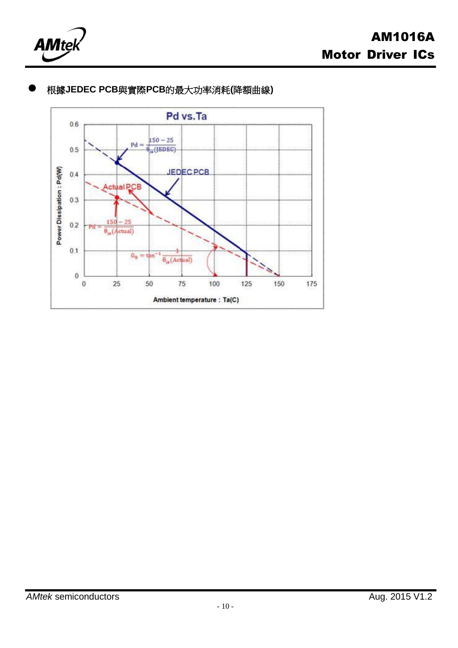



# 根據**JEDEC PCB**與實際**PCB**的最大功率消耗**(**降額曲線**)**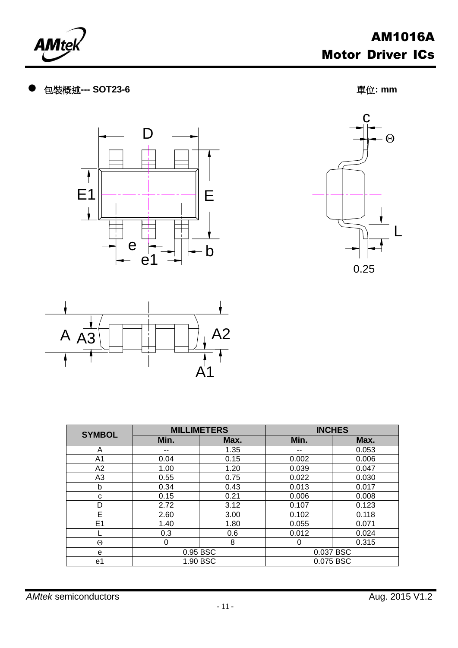







| <b>SYMBOL</b>  |          | <b>MILLIMETERS</b> | <b>INCHES</b> |       |  |
|----------------|----------|--------------------|---------------|-------|--|
|                | Min.     | Max.               |               | Max.  |  |
| A              | --       | 1.35               | --            | 0.053 |  |
| A <sub>1</sub> | 0.04     | 0.15               | 0.002         | 0.006 |  |
| A <sub>2</sub> | 1.00     | 1.20               | 0.039         | 0.047 |  |
| A <sub>3</sub> | 0.55     | 0.75               | 0.022         | 0.030 |  |
| b              | 0.34     | 0.43               | 0.013         | 0.017 |  |
| c              | 0.15     | 0.21               | 0.006         | 0.008 |  |
| D              | 2.72     | 3.12               | 0.107         | 0.123 |  |
| E              | 2.60     | 3.00               | 0.102         | 0.118 |  |
| E1             | 1.40     | 1.80               | 0.055         | 0.071 |  |
|                | 0.3      | 0.6                | 0.012         | 0.024 |  |
| $\Theta$       | 0        | 8                  | 0             | 0.315 |  |
| e              | 0.95 BSC |                    | 0.037 BSC     |       |  |
| e1             |          | 1.90 BSC           | 0.075 BSC     |       |  |